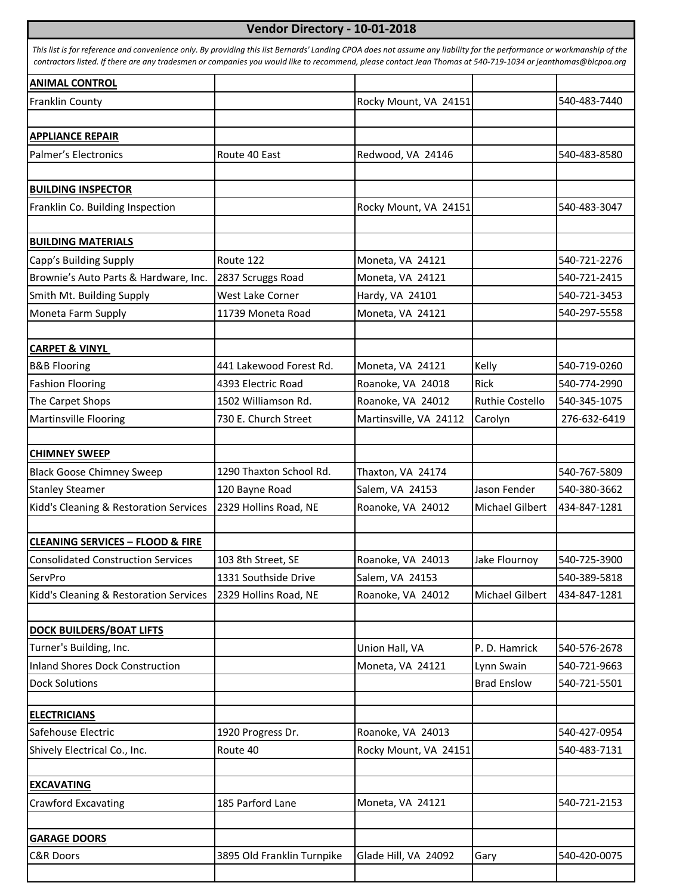## **Vendor Directory - 10-01-2018**

| <b>ANIMAL CONTROL</b>                                             |                            |                        |                                  |              |
|-------------------------------------------------------------------|----------------------------|------------------------|----------------------------------|--------------|
| Franklin County                                                   |                            | Rocky Mount, VA 24151  |                                  | 540-483-7440 |
|                                                                   |                            |                        |                                  |              |
| <b>APPLIANCE REPAIR</b>                                           |                            |                        |                                  |              |
| Palmer's Electronics                                              | Route 40 East              | Redwood, VA 24146      |                                  | 540-483-8580 |
|                                                                   |                            |                        |                                  |              |
| <b>BUILDING INSPECTOR</b>                                         |                            |                        |                                  |              |
| Franklin Co. Building Inspection                                  |                            | Rocky Mount, VA 24151  |                                  | 540-483-3047 |
| <b>BUILDING MATERIALS</b>                                         |                            |                        |                                  |              |
| Capp's Building Supply                                            | Route 122                  | Moneta, VA 24121       |                                  | 540-721-2276 |
| Brownie's Auto Parts & Hardware, Inc.                             | 2837 Scruggs Road          | Moneta, VA 24121       |                                  | 540-721-2415 |
| Smith Mt. Building Supply                                         | West Lake Corner           | Hardy, VA 24101        |                                  | 540-721-3453 |
| Moneta Farm Supply                                                | 11739 Moneta Road          | Moneta, VA 24121       |                                  | 540-297-5558 |
|                                                                   |                            |                        |                                  |              |
| <b>CARPET &amp; VINYL</b>                                         |                            |                        |                                  |              |
| <b>B&amp;B Flooring</b>                                           | 441 Lakewood Forest Rd.    | Moneta, VA 24121       | Kelly                            | 540-719-0260 |
| <b>Fashion Flooring</b>                                           | 4393 Electric Road         | Roanoke, VA 24018      | Rick                             | 540-774-2990 |
| The Carpet Shops                                                  | 1502 Williamson Rd.        | Roanoke, VA 24012      | Ruthie Costello                  | 540-345-1075 |
| Martinsville Flooring                                             | 730 E. Church Street       | Martinsville, VA 24112 | Carolyn                          | 276-632-6419 |
|                                                                   |                            |                        |                                  |              |
| <b>CHIMNEY SWEEP</b>                                              |                            |                        |                                  |              |
| <b>Black Goose Chimney Sweep</b>                                  | 1290 Thaxton School Rd.    | Thaxton, VA 24174      |                                  | 540-767-5809 |
| <b>Stanley Steamer</b>                                            | 120 Bayne Road             | Salem, VA 24153        | Jason Fender                     | 540-380-3662 |
| Kidd's Cleaning & Restoration Services                            | 2329 Hollins Road, NE      | Roanoke, VA 24012      | Michael Gilbert                  | 434-847-1281 |
| <b>CLEANING SERVICES - FLOOD &amp; FIRE</b>                       |                            |                        |                                  |              |
| <b>Consolidated Construction Services</b>                         | 103 8th Street, SE         | Roanoke, VA 24013      | Jake Flournoy                    | 540-725-3900 |
| ServPro                                                           | 1331 Southside Drive       | Salem, VA 24153        |                                  | 540-389-5818 |
| Kidd's Cleaning & Restoration Services                            | 2329 Hollins Road, NE      | Roanoke, VA 24012      | Michael Gilbert                  | 434-847-1281 |
|                                                                   |                            |                        |                                  |              |
| <b>DOCK BUILDERS/BOAT LIFTS</b>                                   |                            |                        |                                  |              |
| Turner's Building, Inc.<br><b>Inland Shores Dock Construction</b> |                            | Union Hall, VA         | P. D. Hamrick                    | 540-576-2678 |
|                                                                   |                            | Moneta, VA 24121       | Lynn Swain<br><b>Brad Enslow</b> | 540-721-9663 |
| <b>Dock Solutions</b>                                             |                            |                        |                                  | 540-721-5501 |
| <b>ELECTRICIANS</b>                                               |                            |                        |                                  |              |
| Safehouse Electric                                                | 1920 Progress Dr.          | Roanoke, VA 24013      |                                  | 540-427-0954 |
| Shively Electrical Co., Inc.                                      | Route 40                   | Rocky Mount, VA 24151  |                                  | 540-483-7131 |
|                                                                   |                            |                        |                                  |              |
| <b>EXCAVATING</b>                                                 |                            |                        |                                  |              |
| Crawford Excavating                                               | 185 Parford Lane           | Moneta, VA 24121       |                                  | 540-721-2153 |
| <b>GARAGE DOORS</b>                                               |                            |                        |                                  |              |
| <b>C&amp;R Doors</b>                                              | 3895 Old Franklin Turnpike | Glade Hill, VA 24092   | Gary                             | 540-420-0075 |
|                                                                   |                            |                        |                                  |              |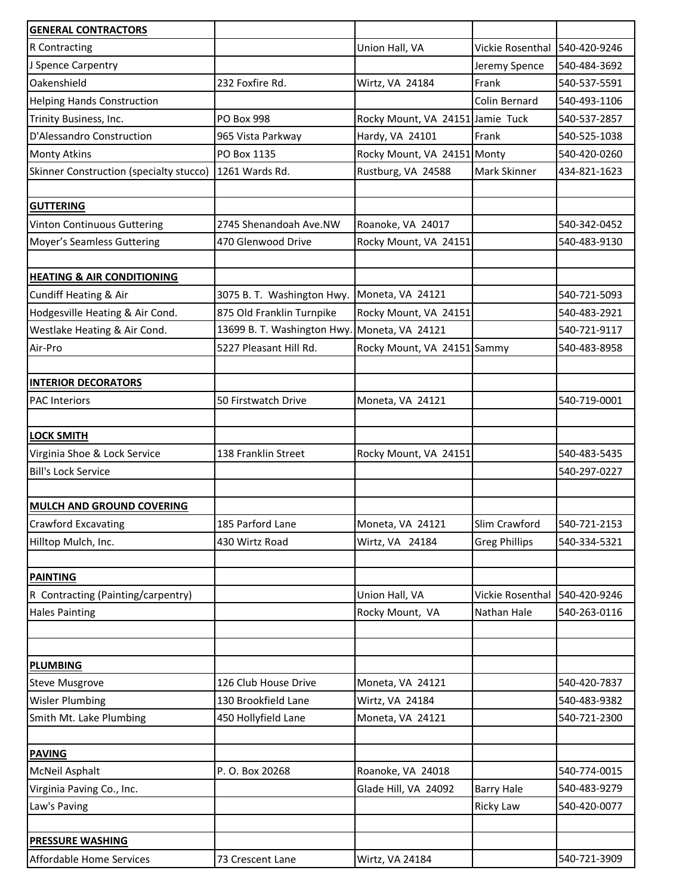| <b>GENERAL CONTRACTORS</b>              |                             |                                  |                               |              |
|-----------------------------------------|-----------------------------|----------------------------------|-------------------------------|--------------|
| R Contracting                           |                             | Union Hall, VA                   | Vickie Rosenthal              | 540-420-9246 |
| J Spence Carpentry                      |                             |                                  | Jeremy Spence                 | 540-484-3692 |
| Oakenshield                             | 232 Foxfire Rd.             | Wirtz, VA 24184                  | Frank                         | 540-537-5591 |
| <b>Helping Hands Construction</b>       |                             |                                  | Colin Bernard                 | 540-493-1106 |
| Trinity Business, Inc.                  | <b>PO Box 998</b>           | Rocky Mount, VA 24151 Jamie Tuck |                               | 540-537-2857 |
| D'Alessandro Construction               | 965 Vista Parkway           | Hardy, VA 24101                  | Frank                         | 540-525-1038 |
| <b>Monty Atkins</b>                     | PO Box 1135                 | Rocky Mount, VA 24151 Monty      |                               | 540-420-0260 |
| Skinner Construction (specialty stucco) | 1261 Wards Rd.              | Rustburg, VA 24588               | Mark Skinner                  | 434-821-1623 |
|                                         |                             |                                  |                               |              |
| <b>GUTTERING</b>                        |                             |                                  |                               |              |
| Vinton Continuous Guttering             | 2745 Shenandoah Ave.NW      | Roanoke, VA 24017                |                               | 540-342-0452 |
| Moyer's Seamless Guttering              | 470 Glenwood Drive          | Rocky Mount, VA 24151            |                               | 540-483-9130 |
|                                         |                             |                                  |                               |              |
| <b>HEATING &amp; AIR CONDITIONING</b>   |                             |                                  |                               |              |
| <b>Cundiff Heating &amp; Air</b>        | 3075 B. T. Washington Hwy.  | Moneta, VA 24121                 |                               | 540-721-5093 |
| Hodgesville Heating & Air Cond.         | 875 Old Franklin Turnpike   | Rocky Mount, VA 24151            |                               | 540-483-2921 |
| Westlake Heating & Air Cond.            | 13699 B. T. Washington Hwy. | Moneta, VA 24121                 |                               | 540-721-9117 |
| Air-Pro                                 | 5227 Pleasant Hill Rd.      | Rocky Mount, VA 24151 Sammy      |                               | 540-483-8958 |
|                                         |                             |                                  |                               |              |
| <b>INTERIOR DECORATORS</b>              |                             |                                  |                               |              |
| <b>PAC Interiors</b>                    | 50 Firstwatch Drive         | Moneta, VA 24121                 |                               | 540-719-0001 |
|                                         |                             |                                  |                               |              |
| <b>LOCK SMITH</b>                       |                             |                                  |                               |              |
| Virginia Shoe & Lock Service            | 138 Franklin Street         | Rocky Mount, VA 24151            |                               | 540-483-5435 |
| <b>Bill's Lock Service</b>              |                             |                                  |                               | 540-297-0227 |
|                                         |                             |                                  |                               |              |
| MULCH AND GROUND COVERING               |                             |                                  |                               |              |
| <b>Crawford Excavating</b>              | 185 Parford Lane            | Moneta, VA 24121                 | Slim Crawford                 | 540-721-2153 |
| Hilltop Mulch, Inc.                     | 430 Wirtz Road              | Wirtz, VA 24184                  | <b>Greg Phillips</b>          | 540-334-5321 |
|                                         |                             |                                  |                               |              |
| <b>PAINTING</b>                         |                             |                                  |                               |              |
| R Contracting (Painting/carpentry)      |                             | Union Hall, VA                   | Vickie Rosenthal 540-420-9246 |              |
| <b>Hales Painting</b>                   |                             | Rocky Mount, VA                  | Nathan Hale                   | 540-263-0116 |
|                                         |                             |                                  |                               |              |
|                                         |                             |                                  |                               |              |
| <b>PLUMBING</b>                         |                             |                                  |                               |              |
| <b>Steve Musgrove</b>                   | 126 Club House Drive        | Moneta, VA 24121                 |                               | 540-420-7837 |
| <b>Wisler Plumbing</b>                  | 130 Brookfield Lane         | Wirtz, VA 24184                  |                               | 540-483-9382 |
| Smith Mt. Lake Plumbing                 | 450 Hollyfield Lane         | Moneta, VA 24121                 |                               | 540-721-2300 |
|                                         |                             |                                  |                               |              |
| <b>PAVING</b>                           |                             |                                  |                               |              |
| McNeil Asphalt                          | P. O. Box 20268             | Roanoke, VA 24018                |                               | 540-774-0015 |
| Virginia Paving Co., Inc.               |                             | Glade Hill, VA 24092             | <b>Barry Hale</b>             | 540-483-9279 |
| Law's Paving                            |                             |                                  | Ricky Law                     | 540-420-0077 |
|                                         |                             |                                  |                               |              |
| <b>PRESSURE WASHING</b>                 |                             |                                  |                               |              |
| Affordable Home Services                | 73 Crescent Lane            | Wirtz, VA 24184                  |                               | 540-721-3909 |